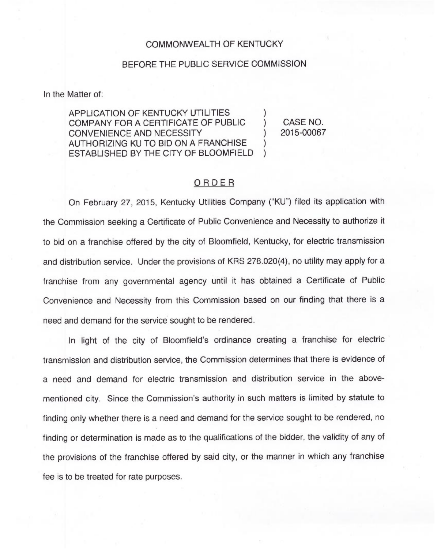## COMMONWEALTH OF KENTUCKY

## BEFORE THE PUBLIC SERVICE COMMISSION

In the Matter of:

APPLICATION OF KENTUCKY UTILITIES COMPANY FOR A CERTIFICATE OF PUBLIC ) CONVENIENCE AND NECESSITY AUTHORIZING KU TO BID ON A FRANCHISE ) ESTABLISHED BY THE CITY OF BLOOMFIELD )

CASE NO. 2015-00067

## ORDER

On February 27, 2015, Kentucky Utilities Company ("KU") filed its application with the Commission seeking a Certificate of Public Convenience and Necessity to authorize it to bid on a franchise offered by the city of Bloomfield, Kentucky, for electric transmission and distribution service. Under the provisions of KRS 278.020(4), no utility may apply for a franchise from any governmental agency until it has obtained a Certificate of Public Convenience and Necessity from this Commission based on our finding that there is a need and demand for the service sought to be rendered.

In light of the city of Bloomfield's ordinance creating a franchise for electric transmission and distribution service, the Commission determines that there is evidence of a need and demand for electric transmission and distribution service in the abovementioned city. Since the Commission's authority in such matters is limited by statute to finding only whether there is a need and demand for the service sought to be rendered, no finding or determination is made as to the qualifications of the bidder, the validity of any of the provisions of the franchise offered by said city, or the manner in which any franchise fee is to be treated for rate purposes.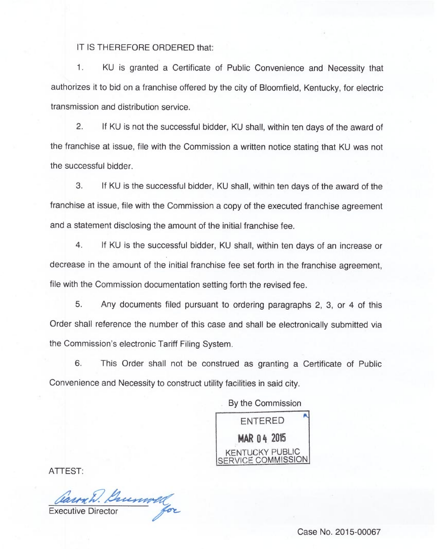IT IS THEREFORE ORDERED that:

 $\mathbf{1}$ . KU is granted a Certificate of Public Convenience and Necessity that authorizes it to bid on a franchise offered by the city of Bloomfield, Kentucky, for electric transmission and distribution service.

2. If KU is not the successful bidder, KU shall, within ten days of the award of the franchise at issue, file with the Commission a written notice stating that KU was not the successful bidder.

3. If KU is the successful bidder, KU shall, within ten days of the award of the franchise at issue, file with the Commission a copy of the executed franchise agreement and a statement disclosing the amount of the initial franchise fee.

4. If KU is the successful bidder, KU shall, within ten days of an increase or decrease in the amount of the initial franchise fee set forth in the franchise agreement, file with the Commission documentation setting forth the revised fee.

5. Any documents filed pursuant to ordering paragraphs 2, 3, or 4 of this Order shall reference the number of this case and shall be electronically submitted via the Commission's electronic Tariff Filing System.

6. This Order shall not be construed as granting a Certificate of Public Convenience and Necessity to construct utility facilities in said city.

By the Commission

ENTERED MAR 04 2015 KENTUCKY PUBLIC SERVICE COMMISSION

ATTEST:

Caunch. Bussell

Case No. 2015-00067